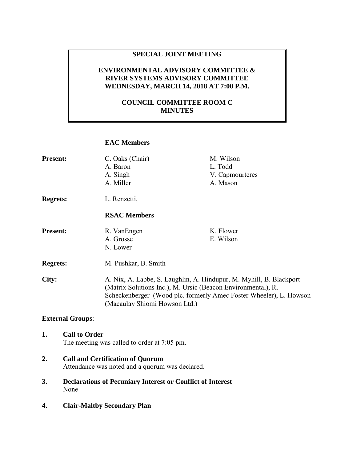## **SPECIAL JOINT MEETING**

## **ENVIRONMENTAL ADVISORY COMMITTEE & RIVER SYSTEMS ADVISORY COMMITTEE WEDNESDAY, MARCH 14, 2018 AT 7:00 P.M.**

## **COUNCIL COMMITTEE ROOM C MINUTES**

### **EAC Members**

| <b>Present:</b> | C. Oaks (Chair)     | M. Wilson           |
|-----------------|---------------------|---------------------|
|                 | A. Baron            | L. Todd             |
|                 | A. Singh            | V. Capmourteres     |
|                 | A. Miller           | A. Mason            |
| <b>Regrets:</b> | L. Renzetti,        |                     |
|                 | <b>RSAC Members</b> |                     |
| Present.        | $R$ Van $F$ ngen    | <b>Flower</b><br>K. |

| <b>Present:</b> | R. VanEngen | K. Flower |
|-----------------|-------------|-----------|
|                 | A. Grosse   | E. Wilson |
|                 | N. Lower    |           |
|                 |             |           |

**Regrets:** M. Pushkar, B. Smith

**City:** A. Nix, A. Labbe, S. Laughlin, A. Hindupur, M. Myhill, B. Blackport (Matrix Solutions Inc.), M. Ursic (Beacon Environmental), R. Scheckenberger (Wood plc. formerly Amec Foster Wheeler), L. Howson (Macaulay Shiomi Howson Ltd.)

#### **External Groups**:

# **1. Call to Order**

- The meeting was called to order at 7:05 pm.
- **2. Call and Certification of Quorum**  Attendance was noted and a quorum was declared.
- **3. Declarations of Pecuniary Interest or Conflict of Interest**  None
- **4. Clair-Maltby Secondary Plan**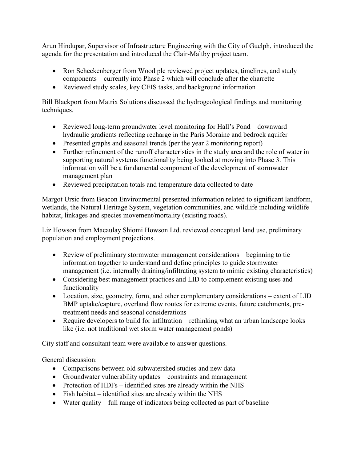Arun Hindupar, Supervisor of Infrastructure Engineering with the City of Guelph, introduced the agenda for the presentation and introduced the Clair-Maltby project team.

- Ron Scheckenberger from Wood plc reviewed project updates, timelines, and study components – currently into Phase 2 which will conclude after the charrette
- Reviewed study scales, key CEIS tasks, and background information

Bill Blackport from Matrix Solutions discussed the hydrogeological findings and monitoring techniques.

- Reviewed long-term groundwater level monitoring for Hall's Pond downward hydraulic gradients reflecting recharge in the Paris Moraine and bedrock aquifer
- Presented graphs and seasonal trends (per the year 2 monitoring report)
- Further refinement of the runoff characteristics in the study area and the role of water in supporting natural systems functionality being looked at moving into Phase 3. This information will be a fundamental component of the development of stormwater management plan
- Reviewed precipitation totals and temperature data collected to date

Margot Ursic from Beacon Environmental presented information related to significant landform, wetlands, the Natural Heritage System, vegetation communities, and wildlife including wildlife habitat, linkages and species movement/mortality (existing roads).

Liz Howson from Macaulay Shiomi Howson Ltd. reviewed conceptual land use, preliminary population and employment projections.

- Review of preliminary stormwater management considerations beginning to tie information together to understand and define principles to guide stormwater management (i.e. internally draining/infiltrating system to mimic existing characteristics)
- Considering best management practices and LID to complement existing uses and functionality
- Location, size, geometry, form, and other complementary considerations extent of LID BMP uptake/capture, overland flow routes for extreme events, future catchments, pretreatment needs and seasonal considerations
- Require developers to build for infiltration rethinking what an urban landscape looks like (i.e. not traditional wet storm water management ponds)

City staff and consultant team were available to answer questions.

General discussion:

- Comparisons between old subwatershed studies and new data
- Groundwater vulnerability updates constraints and management
- Protection of HDFs identified sites are already within the NHS
- Fish habitat identified sites are already within the NHS
- Water quality full range of indicators being collected as part of baseline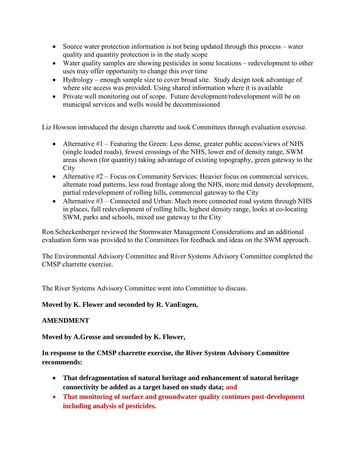- Source water protection information is not being updated through this process water quality and quantity protection is in the study scope
- Water quality samples are showing pesticides in some locations redevelopment to other uses may offer opportunity to change this over time
- Hydrology enough sample size to cover broad site. Study design took advantage of where site access was provided. Using shared information where it is available
- Private well monitoring out of scope. Future development/redevelopment will be on municipal services and wells would be decommissioned

Liz Howson introduced the design charrette and took Committees through evaluation exercise.

- Alternative #1 Featuring the Green: Less dense, greater public access/views of NHS (single loaded roads), fewest crossings of the NHS, lower end of density range, SWM areas shown (for quantity) taking advantage of existing topography, green gateway to the **City**
- Alternative #2 Focus on Community Services: Heavier focus on commercial services, alternate road patterns, less road frontage along the NHS, more mid density development, partial redevelopment of rolling hills, commercial gateway to the City
- Alternative #3 Connected and Urban: Much more connected road system through NHS in places, full redevelopment of rolling hills, highest density range, looks at co-locating SWM, parks and schools, mixed use gateway to the City

Ron Scheckenberger reviewed the Stormwater Management Considerations and an additional evaluation form was provided to the Committees for feedback and ideas on the SWM approach.

The Environmental Advisory Committee and River Systems Advisory Committee completed the CMSP charrette exercise.

The River Systems Advisory Committee went into Committee to discuss.

## **Moved by K. Flower and seconded by R. VanEngen,**

## **AMENDMENT**

**Moved by A.Grosse and seconded by K. Flower,** 

**In response to the CMSP charrette exercise, the River System Advisory Committee recommends:** 

- **That defragmentation of natural heritage and enhancement of natural heritage connectivity be added as a target based on study data; and**
- **That monitoring of surface and groundwater quality continues post-development including analysis of pesticides.**